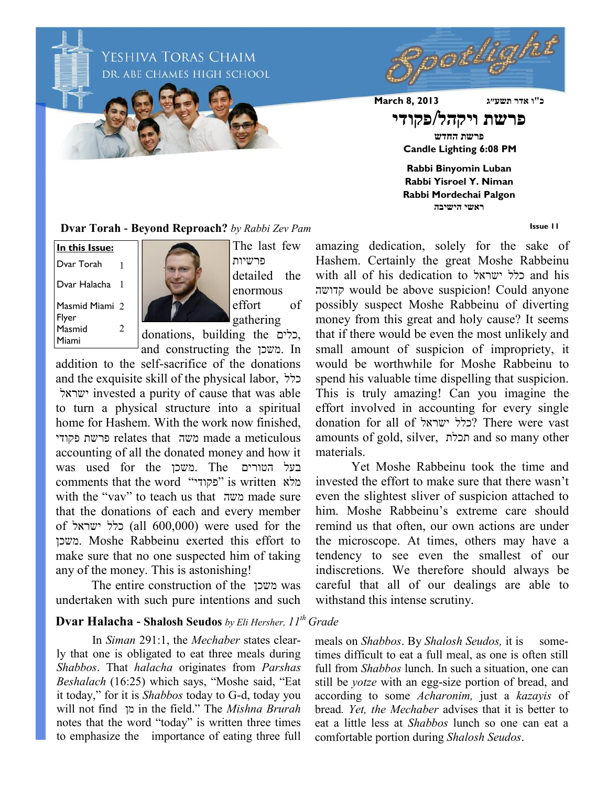ochiqi YESHIVA TORAS CHAIM DR. ABE CHAMES HIGH SCHOOL **כ"ו אדר תשע״ג 2013 8, March פרשת ויקהל/פקודי פרשת החדש Candle Lighting 6:08 PM Rabbi Binyomin Luban Rabbi Yisroel Y. Niman Rabbi Mordechai Palgon ראשי הישיבה**

**Issue 11**

**Dvar Torah - Beyond Reproach?** *by Rabbi Zev Pam*

Masmid Miami 2 Flyer **In this Issue:** Dvar Torah Dvar Halacha 1 1 Masmid Miami 2



The last few פרשיות detailed the enormous effort of gathering

donations, building the כלים, and constructing the משכן. In

addition to the self-sacrifice of the donations and the exquisite skill of the physical labor, כלל ישראל invested a purity of cause that was able to turn a physical structure into a spiritual home for Hashem. With the work now finished פקודי פרשת relates that משה made a meticulous accounting of all the donated money and how it was used for the משכן. The הטורים בעל comments that the word "פקודי" is written מלא with the "vav" to teach us that משה made sure that the donations of each and every member of ישראל כלל) all 600,000) were used for the משכן. Moshe Rabbeinu exerted this effort to make sure that no one suspected him of taking any of the money. This is astonishing!

The entire construction of the משכן was undertaken with such pure intentions and such

## **Dvar Halacha - Shalosh Seudos** *by Eli Hersher, 11th Grade*

In *Siman* 291:1, the *Mechaber* states clearly that one is obligated to eat three meals during *Shabbos*. That *halacha* originates from *Parshas Beshalach* (16:25) which says, "Moshe said, "Eat it today," for it is *Shabbos* today to G-d, today you will not find מן in the field." The *Mishna Brurah* notes that the word "today" is written three times to emphasize the importance of eating three full

amazing dedication, solely for the sake of Hashem. Certainly the great Moshe Rabbeinu with all of his dedication to ישראל כלל and his קדושה would be above suspicion! Could anyone possibly suspect Moshe Rabbeinu of diverting money from this great and holy cause? It seems that if there would be even the most unlikely and small amount of suspicion of impropriety, it would be worthwhile for Moshe Rabbeinu to spend his valuable time dispelling that suspicion. This is truly amazing! Can you imagine the effort involved in accounting for every single donation for all of ישראל כלל ?There were vast amounts of gold, silver, תכלת and so many other materials.

Yet Moshe Rabbeinu took the time and invested the effort to make sure that there wasn't even the slightest sliver of suspicion attached to him. Moshe Rabbeinu's extreme care should remind us that often, our own actions are under the microscope. At times, others may have a tendency to see even the smallest of our indiscretions. We therefore should always be careful that all of our dealings are able to withstand this intense scrutiny.

meals on *Shabbos*. By *Shalosh Seudos*, it is sometimes difficult to eat a full meal, as one is often still full from *Shabbos* lunch. In such a situation, one can still be *yotze* with an egg-size portion of bread, and according to some *Acharonim,* just a *kazayis* of bread*. Yet, the Mechaber* advises that it is better to eat a little less at *Shabbos* lunch so one can eat a comfortable portion during *Shalosh Seudos*.